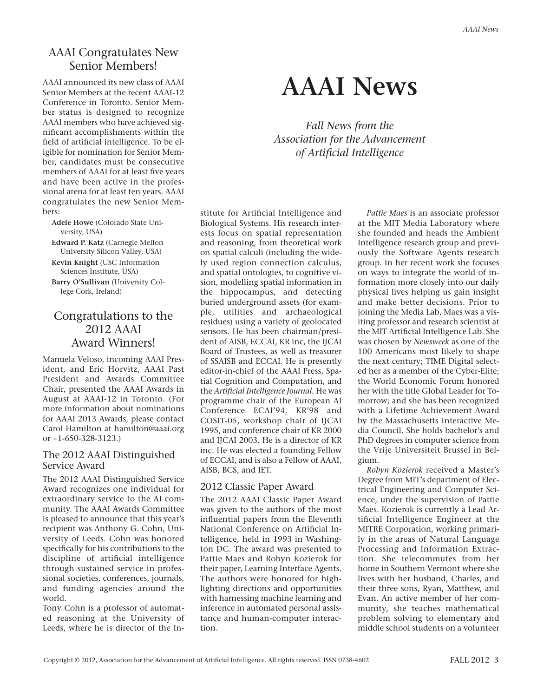# AAAI Congratulates New Senior Members!

AAAI announced its new class of AAAI Senior Members at the recent AAAI-12 Conference in Toronto. Senior Member status is designed to recognize AAAI members who have achieved significant accomplishments within the field of artificial intelligence. To be eligible for nomination for Senior Member, candidates must be consecutive members of AAAI for at least five years and have been active in the professional arena for at least ten years. AAAI congratulates the new Senior Members:

**Adele Howe** (Colorado State University, USA)

**Edward P. Katz** (Carnegie Mellon University Silicon Valley, USA) **Kevin Knight** (USC Information

Sciences Institute, USA)

**Barry O'Sullivan** (University College Cork, Ireland)

# Congratulations to the 2012 AAAI Award Winners!

Manuela Veloso, incoming AAAI President, and Eric Horvitz, AAAI Past President and Awards Committee Chair, presented the AAAI Awards in August at AAAI-12 in Toronto. (For more information about nominations for AAAI 2013 Awards, please contact Carol Hamilton at hamilton@aaai.org or +1-650-328-3123.)

#### The 2012 AAAI Distinguished Service Award

The 2012 AAAI Distinguished Service Award recognizes one individual for extraordinary service to the AI community. The AAAI Awards Committee is pleased to announce that this year's recipient was Anthony G. Cohn, University of Leeds. Cohn was honored specifically for his contributions to the discipline of artificial intelligence through sustained service in professional societies, conferences, journals, and funding agencies around the world.

Tony Cohn is a professor of automated reasoning at the University of Leeds, where he is director of the In-

# **AAAI News**

*Fall News from the Association for the Advancement of Artificial Intelligence*

stitute for Artificial Intelligence and Biological Systems. His research interests focus on spatial representation and reasoning, from theoretical work on spatial calculi (including the widely used region connection calculus, and spatial ontologies, to cognitive vision, modelling spatial information in the hippocampus, and detecting buried underground assets (for example, utilities and archaeological residues) using a variety of geolocated sensors. He has been chairman/president of AISB, ECCAI, KR inc, the IJCAI Board of Trustees, as well as treasurer of SSAISB and ECCAI. He is presently editor-in-chief of the AAAI Press, Spatial Cognition and Computation, and the *Artificial Intelligence Journal.* He was programme chair of the European AI Conference ECAI'94, KR'98 and COSIT-05, workshop chair of IJCAI 1995, and conference chair of KR 2000 and IJCAI 2003. He is a director of KR inc. He was elected a founding Fellow of ECCAI, and is also a Fellow of AAAI, AISB, BCS, and IET.

#### 2012 Classic Paper Award

The 2012 AAAI Classic Paper Award was given to the authors of the most influential papers from the Eleventh National Conference on Artificial Intelligence, held in 1993 in Washington DC. The award was presented to Pattie Maes and Robyn Kozierok for their paper, Learning Interface Agents. The authors were honored for highlighting directions and opportunities with harnessing machine learning and inference in automated personal assistance and human-computer interaction.

*Pattie Maes* is an associate professor at the MIT Media Laboratory where she founded and heads the Ambient Intelligence research group and previously the Software Agents research group. In her recent work she focuses on ways to integrate the world of information more closely into our daily physical lives helping us gain insight and make better decisions. Prior to joining the Media Lab, Maes was a visiting professor and research scientist at the MIT Artificial Intelligence Lab. She was chosen by *Newsweek* as one of the 100 Americans most likely to shape the next century; TIME Digital selected her as a member of the Cyber-Elite; the World Economic Forum honored her with the title Global Leader for Tomorrow; and she has been recognized with a Lifetime Achievement Award by the Massachusetts Interactive Media Council. She holds bachelor's and PhD degrees in computer science from the Vrije Universiteit Brussel in Belgium.

*Robyn Kozierok* received a Master's Degree from MIT's department of Electrical Engineering and Computer Science, under the supervision of Pattie Maes. Kozierok is currently a Lead Artificial Intelligence Engineer at the MITRE Corporation, working primarily in the areas of Natural Language Processing and Information Extraction. She telecommutes from her home in Southern Vermont where she lives with her husband, Charles, and their three sons, Ryan, Matthew, and Evan. An active member of her community, she teaches mathematical problem solving to elementary and middle school students on a volunteer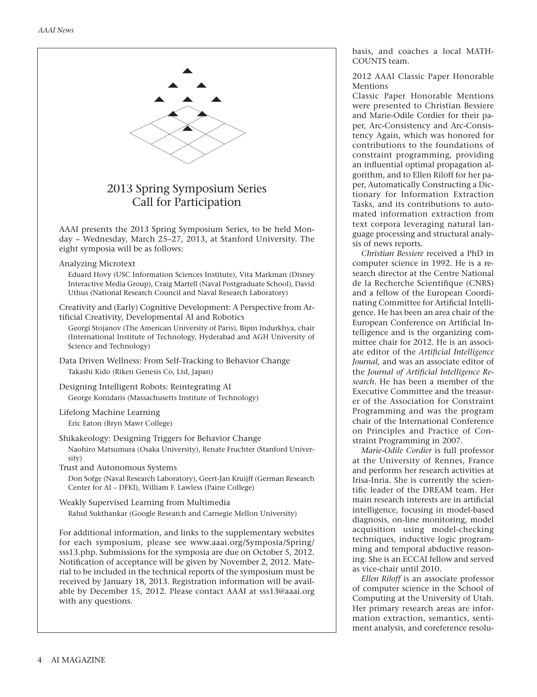

basis, and coaches a local MATH-COUNTS team.

2012 AAAI Classic Paper Honorable Mentions

Classic Paper Honorable Mentions were presented to Christian Bessiere and Marie-Odile Cordier for their paper, Arc-Consistency and Arc-Consistency Again, which was honored for contributions to the foundations of constraint programming, providing an influential optimal propagation algorithm, and to Ellen Riloff for her paper, Automatically Constructing a Dictionary for Information Extraction Tasks, and its contributions to automated information extraction from text corpora leveraging natural language processing and structural analysis of news reports.

*Christian Bessiere* received a PhD in computer science in 1992. He is a research director at the Centre National de la Recherche Scientifique (CNRS) and a fellow of the European Coordinating Committee for Artificial Intelligence. He has been an area chair of the European Conference on Artificial Intelligence and is the organizing committee chair for 2012. He is an associate editor of the *Artificial Intelligence Journal,* and was an associate editor of the *Journal of Artificial Intelligence Research.* He has been a member of the Executive Committee and the treasurer of the Association for Constraint Programming and was the program chair of the International Conference on Principles and Practice of Constraint Programming in 2007.

*Marie-Odile Cordier* is full professor at the University of Rennes, France and performs her research activities at Irisa-Inria. She is currently the scientific leader of the DREAM team. Her main research interests are in artificial intelligence, focusing in model-based diagnosis, on-line monitoring, model acquisition using model-checking techniques, inductive logic programming and temporal abductive reasoning. She is an ECCAI fellow and served as vice-chair until 2010.

*Ellen Riloff* is an associate professor of computer science in the School of Computing at the University of Utah. Her primary research areas are information extraction, semantics, sentiment analysis, and coreference resolu-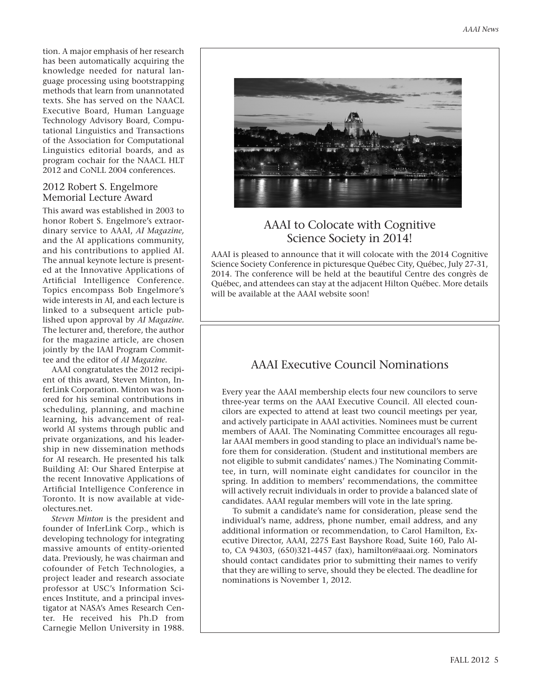tion. A major emphasis of her research has been automatically acquiring the knowledge needed for natural language processing using bootstrapping methods that learn from unannotated texts. She has served on the NAACL Executive Board, Human Language Technology Advisory Board, Computational Linguistics and Transactions of the Association for Computational Linguistics editorial boards, and as program cochair for the NAACL HLT 2012 and CoNLL 2004 conferences.

#### 2012 Robert S. Engelmore Memorial Lecture Award

This award was established in 2003 to honor Robert S. Engelmore's extraordinary service to AAAI, *AI Magazine,* and the AI applications community, and his contributions to applied AI. The annual keynote lecture is presented at the Innovative Applications of Artificial Intelligence Conference. Topics encompass Bob Engelmore's wide interests in AI, and each lecture is linked to a subsequent article published upon approval by *AI Magazine.* The lecturer and, therefore, the author for the magazine article, are chosen jointly by the IAAI Program Committee and the editor of *AI Magazine.*

AAAI congratulates the 2012 recipient of this award, Steven Minton, InferLink Corporation. Minton was honored for his seminal contributions in scheduling, planning, and machine learning, his advancement of realworld AI systems through public and private organizations, and his leadership in new dissemination methods for AI research. He presented his talk Building AI: Our Shared Enterpise at the recent Innovative Applications of Artificial Intelligence Conference in Toronto. It is now available at videolectures.net.

*Steven Minton* is the president and founder of InferLink Corp., which is developing technology for integrating massive amounts of entity-oriented data. Previously, he was chairman and cofounder of Fetch Technologies, a project leader and research associate professor at USC's Information Sciences Institute, and a principal investigator at NASA's Ames Research Center. He received his Ph.D from Carnegie Mellon University in 1988.



# AAAI to Colocate with Cognitive Science Society in 2014!

AAAI is pleased to announce that it will colocate with the 2014 Cognitive Science Society Conference in picturesque Québec City, Québec, July 27-31, 2014. The conference will be held at the beautiful Centre des congrès de Québec, and attendees can stay at the adjacent Hilton Québec. More details will be available at the AAAI website soon!

# AAAI Executive Council Nominations

Every year the AAAI membership elects four new councilors to serve three-year terms on the AAAI Executive Council. All elected councilors are expected to attend at least two council meetings per year, and actively participate in AAAI activities. Nominees must be current members of AAAI. The Nominating Committee encourages all regular AAAI members in good standing to place an individual's name before them for consideration. (Student and institutional members are not eligible to submit candidates' names.) The Nominating Committee, in turn, will nominate eight candidates for councilor in the spring. In addition to members' recommendations, the committee will actively recruit individuals in order to provide a balanced slate of candidates. AAAI regular members will vote in the late spring.

To submit a candidate's name for consideration, please send the individual's name, address, phone number, email address, and any additional information or recommendation, to Carol Hamilton, Executive Director, AAAI, 2275 East Bayshore Road, Suite 160, Palo Alto, CA 94303, (650)321-4457 (fax), hamilton@aaai.org. Nominators should contact candidates prior to submitting their names to verify that they are willing to serve, should they be elected. The deadline for nominations is November 1, 2012.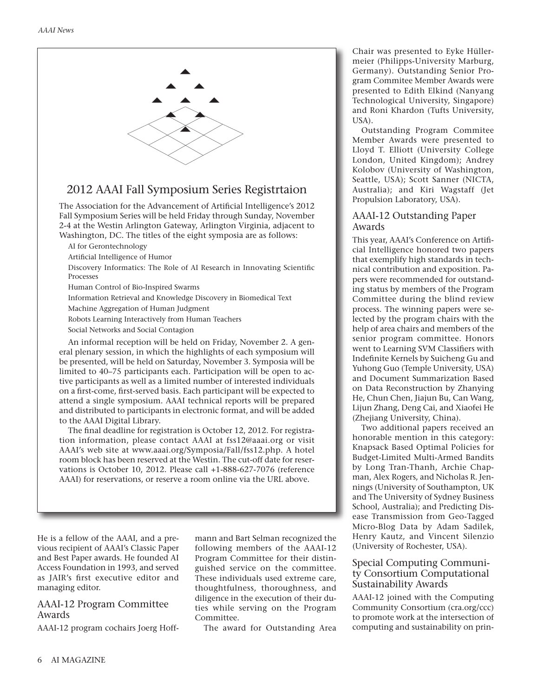

## 2012 AAAI Fall Symposium Series Registrtaion

The Association for the Advancement of Artificial Intelligence's 2012 Fall Symposium Series will be held Friday through Sunday, November 2-4 at the Westin Arlington Gateway, Arlington Virginia, adjacent to Washington, DC. The titles of the eight symposia are as follows:

AI for Gerontechnology

Artificial Intelligence of Humor

Discovery Informatics: The Role of AI Research in Innovating Scientific Processes

Human Control of Bio-Inspired Swarms

Information Retrieval and Knowledge Discovery in Biomedical Text

Machine Aggregation of Human Judgment

Robots Learning Interactively from Human Teachers

Social Networks and Social Contagion

An informal reception will be held on Friday, November 2. A general plenary session, in which the highlights of each symposium will be presented, will be held on Saturday, November 3. Symposia will be limited to 40–75 participants each. Participation will be open to active participants as well as a limited number of interested individuals on a first-come, first-served basis. Each participant will be expected to attend a single symposium. AAAI technical reports will be prepared and distributed to participants in electronic format, and will be added to the AAAI Digital Library.

The final deadline for registration is October 12, 2012. For registration information, please contact AAAI at fss12@aaai.org or visit AAAI's web site at www.aaai.org/Symposia/Fall/fss12.php. A hotel room block has been reserved at the Westin. The cut-off date for reservations is October 10, 2012. Please call +1-888-627-7076 (reference AAAI) for reservations, or reserve a room online via the URL above.

He is a fellow of the AAAI, and a previous recipient of AAAI's Classic Paper and Best Paper awards. He founded AI Access Foundation in 1993, and served as JAIR's first executive editor and managing editor.

#### AAAI-12 Program Committee Awards

AAAI-12 program cochairs Joerg Hoff-

mann and Bart Selman recognized the following members of the AAAI-12 Program Committee for their distinguished service on the committee. These individuals used extreme care, thoughtfulness, thoroughness, and diligence in the execution of their duties while serving on the Program Committee.

The award for Outstanding Area

Chair was presented to Eyke Hüllermeier (Philipps-University Marburg, Germany). Outstanding Senior Program Commitee Member Awards were presented to Edith Elkind (Nanyang Technological University, Singapore) and Roni Khardon (Tufts University, USA).

Outstanding Program Commitee Member Awards were presented to Lloyd T. Elliott (University College London, United Kingdom); Andrey Kolobov (University of Washington, Seattle, USA); Scott Sanner (NICTA, Australia); and Kiri Wagstaff (Jet Propulsion Laboratory, USA).

#### AAAI-12 Outstanding Paper Awards

This year, AAAI's Conference on Artificial Intelligence honored two papers that exemplify high standards in technical contribution and exposition. Papers were recommended for outstanding status by members of the Program Committee during the blind review process. The winning papers were selected by the program chairs with the help of area chairs and members of the senior program committee. Honors went to Learning SVM Classifiers with Indefinite Kernels by Suicheng Gu and Yuhong Guo (Temple University, USA) and Document Summarization Based on Data Reconstruction by Zhanying He, Chun Chen, Jiajun Bu, Can Wang, Lijun Zhang, Deng Cai, and Xiaofei He (Zhejiang University, China).

Two additional papers received an honorable mention in this category: Knapsack Based Optimal Policies for Budget-Limited Multi-Armed Bandits by Long Tran-Thanh, Archie Chapman, Alex Rogers, and Nicholas R. Jennings (University of Southampton, UK and The University of Sydney Business School, Australia); and Predicting Disease Transmission from Geo-Tagged Micro-Blog Data by Adam Sadilek, Henry Kautz, and Vincent Silenzio (University of Rochester, USA).

#### Special Computing Community Consortium Computational Sustainability Awards

AAAI-12 joined with the Computing Community Consortium (cra.org/ccc) to promote work at the intersection of computing and sustainability on prin-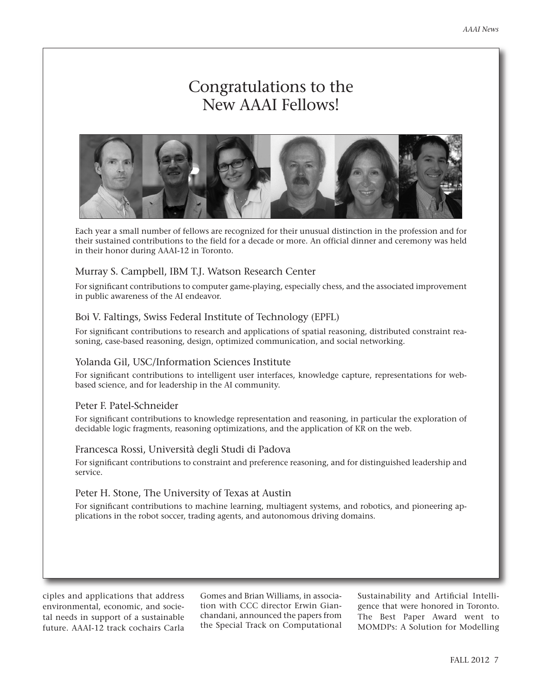# Congratulations to the New AAAI Fellows!



Each year a small number of fellows are recognized for their unusual distinction in the profession and for their sustained contributions to the field for a decade or more. An official dinner and ceremony was held in their honor during AAAI-12 in Toronto.

#### Murray S. Campbell, IBM T.J. Watson Research Center

For significant contributions to computer game-playing, especially chess, and the associated improvement in public awareness of the AI endeavor.

#### Boi V. Faltings, Swiss Federal Institute of Technology (EPFL)

For significant contributions to research and applications of spatial reasoning, distributed constraint reasoning, case-based reasoning, design, optimized communication, and social networking.

#### Yolanda Gil, USC/Information Sciences Institute

For significant contributions to intelligent user interfaces, knowledge capture, representations for webbased science, and for leadership in the AI community.

#### Peter F. Patel-Schneider

For significant contributions to knowledge representation and reasoning, in particular the exploration of decidable logic fragments, reasoning optimizations, and the application of KR on the web.

#### Francesca Rossi, Università degli Studi di Padova

For significant contributions to constraint and preference reasoning, and for distinguished leadership and service.

#### Peter H. Stone, The University of Texas at Austin

For significant contributions to machine learning, multiagent systems, and robotics, and pioneering applications in the robot soccer, trading agents, and autonomous driving domains.

ciples and applications that address environmental, economic, and societal needs in support of a sustainable future. AAAI-12 track cochairs Carla

Gomes and Brian Williams, in association with CCC director Erwin Gianchandani, announced the papers from the Special Track on Computational

Sustainability and Artificial Intelligence that were honored in Toronto. The Best Paper Award went to MOMDPs: A Solution for Modelling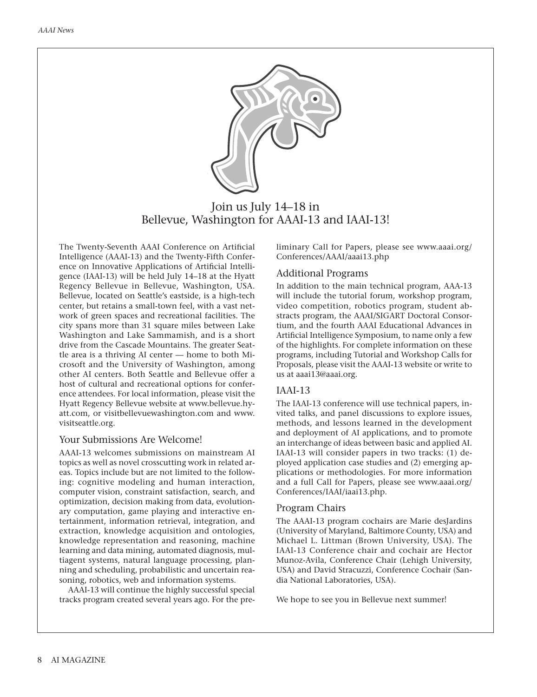

Join us July 14–18 in Bellevue, Washington for AAAI-13 and IAAI-13!

The Twenty-Seventh AAAI Conference on Artificial Intelligence (AAAI-13) and the Twenty-Fifth Conference on Innovative Applications of Artificial Intelligence (IAAI-13) will be held July 14–18 at the Hyatt Regency Bellevue in Bellevue, Washington, USA. Bellevue, located on Seattle's eastside, is a high-tech center, but retains a small-town feel, with a vast network of green spaces and recreational facilities. The city spans more than 31 square miles between Lake Washington and Lake Sammamish, and is a short drive from the Cascade Mountains. The greater Seattle area is a thriving AI center — home to both Microsoft and the University of Washington, among other AI centers. Both Seattle and Bellevue offer a host of cultural and recreational options for conference attendees. For local information, please visit the Hyatt Regency Bellevue website at www.bellevue.hyatt.com, or visitbellevuewashington.com and www. visitseattle.org.

#### Your Submissions Are Welcome!

AAAI-13 welcomes submissions on mainstream AI topics as well as novel crosscutting work in related areas. Topics include but are not limited to the following: cognitive modeling and human interaction, computer vision, constraint satisfaction, search, and optimization, decision making from data, evolutionary computation, game playing and interactive entertainment, information retrieval, integration, and extraction, knowledge acquisition and ontologies, knowledge representation and reasoning, machine learning and data mining, automated diagnosis, multiagent systems, natural language processing, planning and scheduling, probabilistic and uncertain reasoning, robotics, web and information systems.

AAAI-13 will continue the highly successful special tracks program created several years ago. For the preliminary Call for Papers, please see www.aaai.org/ Conferences/AAAI/aaai13.php

#### Additional Programs

In addition to the main technical program, AAA-13 will include the tutorial forum, workshop program, video competition, robotics program, student abstracts program, the AAAI/SIGART Doctoral Consortium, and the fourth AAAI Educational Advances in Artificial Intelligence Symposium, to name only a few of the highlights. For complete information on these programs, including Tutorial and Workshop Calls for Proposals, please visit the AAAI-13 website or write to us at aaai13@aaai.org.

#### IAAI-13

The IAAI-13 conference will use technical papers, invited talks, and panel discussions to explore issues, methods, and lessons learned in the development and deployment of AI applications, and to promote an interchange of ideas between basic and applied AI. IAAI-13 will consider papers in two tracks: (1) deployed application case studies and (2) emerging applications or methodologies. For more information and a full Call for Papers, please see www.aaai.org/ Conferences/IAAI/iaai13.php.

#### Program Chairs

The AAAI-13 program cochairs are Marie desJardins (University of Maryland, Baltimore County, USA) and Michael L. Littman (Brown University, USA). The IAAI-13 Conference chair and cochair are Hector Munoz-Avila, Conference Chair (Lehigh University, USA) and David Stracuzzi, Conference Cochair (Sandia National Laboratories, USA).

We hope to see you in Bellevue next summer!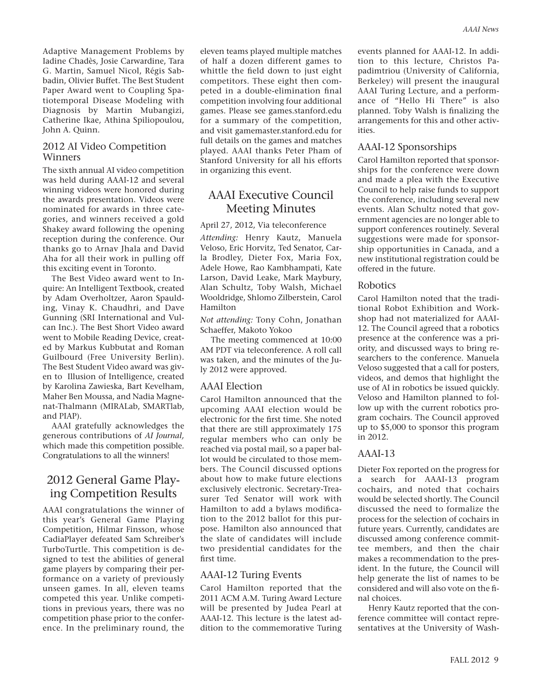Adaptive Management Problems by Iadine Chadès, Josie Carwardine, Tara G. Martin, Samuel Nicol, Régis Sabbadin, Olivier Buffet. The Best Student Paper Award went to Coupling Spatiotemporal Disease Modeling with Diagnosis by Martin Mubangizi, Catherine Ikae, Athina Spiliopoulou, John A. Quinn.

#### 2012 AI Video Competition **Winners**

The sixth annual AI video competition was held during AAAI-12 and several winning videos were honored during the awards presentation. Videos were nominated for awards in three categories, and winners received a gold Shakey award following the opening reception during the conference. Our thanks go to Arnav Jhala and David Aha for all their work in pulling off this exciting event in Toronto.

The Best Video award went to Inquire: An Intelligent Textbook, created by Adam Overholtzer, Aaron Spaulding, Vinay K. Chaudhri, and Dave Gunning (SRI International and Vulcan Inc.). The Best Short Video award went to Mobile Reading Device, created by Markus Kubbutat and Roman Guilbourd (Free University Berlin). The Best Student Video award was given to Illusion of Intelligence, created by Karolina Zawieska, Bart Kevelham, Maher Ben Moussa, and Nadia Magnenat-Thalmann (MIRALab, SMARTlab, and PIAP).

AAAI gratefully acknowledges the generous contributions of *AI Journal,* which made this competition possible. Congratulations to all the winners!

### 2012 General Game Playing Competition Results

AAAI congratulations the winner of this year's General Game Playing Competition, Hilmar Finsson, whose CadiaPlayer defeated Sam Schreiber's TurboTurtle. This competition is designed to test the abilities of general game players by comparing their performance on a variety of previously unseen games. In all, eleven teams competed this year. Unlike competitions in previous years, there was no competition phase prior to the conference. In the preliminary round, the

eleven teams played multiple matches of half a dozen different games to whittle the field down to just eight competitors. These eight then competed in a double-elimination final competition involving four additional games. Please see games.stanford.edu for a summary of the competition, and visit gamemaster.stanford.edu for full details on the games and matches played. AAAI thanks Peter Pham of Stanford University for all his efforts in organizing this event.

# AAAI Executive Council Meeting Minutes

April 27, 2012, Via teleconference *Attending:* Henry Kautz, Manuela Veloso, Eric Horvitz, Ted Senator, Carla Brodley, Dieter Fox, Maria Fox, Adele Howe, Rao Kambhampati, Kate Larson, David Leake, Mark Maybury, Alan Schultz, Toby Walsh, Michael Wooldridge, Shlomo Zilberstein, Carol Hamilton

*Not attending:* Tony Cohn, Jonathan Schaeffer, Makoto Yokoo

The meeting commenced at 10:00 AM PDT via teleconference. A roll call was taken, and the minutes of the July 2012 were approved.

#### AAAI Election

Carol Hamilton announced that the upcoming AAAI election would be electronic for the first time. She noted that there are still approximately 175 regular members who can only be reached via postal mail, so a paper ballot would be circulated to those members. The Council discussed options about how to make future elections exclusively electronic. Secretary-Treasurer Ted Senator will work with Hamilton to add a bylaws modification to the 2012 ballot for this purpose. Hamilton also announced that the slate of candidates will include two presidential candidates for the first time.

#### AAAI-12 Turing Events

Carol Hamilton reported that the 2011 ACM A.M. Turing Award Lecture will be presented by Judea Pearl at AAAI-12. This lecture is the latest addition to the commemorative Turing

events planned for AAAI-12. In addition to this lecture, Christos Papadimtriou (University of California, Berkeley) will present the inaugural AAAI Turing Lecture, and a performance of "Hello Hi There" is also planned. Toby Walsh is finalizing the arrangements for this and other activities.

#### AAAI-12 Sponsorships

Carol Hamilton reported that sponsorships for the conference were down and made a plea with the Executive Council to help raise funds to support the conference, including several new events. Alan Schultz noted that government agencies are no longer able to support conferences routinely. Several suggestions were made for sponsorship opportunities in Canada, and a new institutional registration could be offered in the future.

#### Robotics

Carol Hamilton noted that the traditional Robot Exhibition and Workshop had not materialized for AAAI-12. The Council agreed that a robotics presence at the conference was a priority, and discussed ways to bring researchers to the conference. Manuela Veloso suggested that a call for posters, videos, and demos that highlight the use of AI in robotics be issued quickly. Veloso and Hamilton planned to follow up with the current robotics program cochairs. The Council approved up to \$5,000 to sponsor this program in 2012.

#### AAAI-13

Dieter Fox reported on the progress for a search for AAAI-13 program cochairs, and noted that cochairs would be selected shortly. The Council discussed the need to formalize the process for the selection of cochairs in future years. Currently, candidates are discussed among conference committee members, and then the chair makes a recommendation to the president. In the future, the Council will help generate the list of names to be considered and will also vote on the final choices.

Henry Kautz reported that the conference committee will contact representatives at the University of Wash-